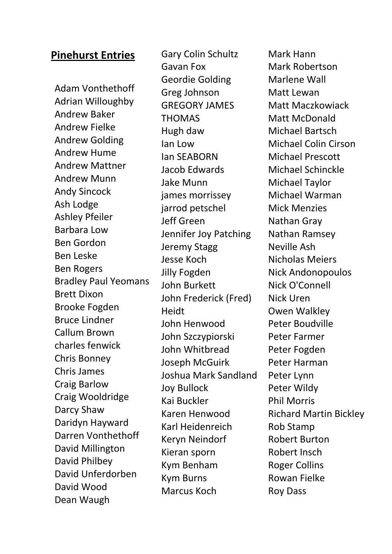## **Pinehurst Entries**

Adam Vonthethoff Adrian Willoughby Andrew Baker Andrew Fielke Andrew Golding Andrew Hume Andrew Mattner Andrew Munn Andy Sincock Ash Lodge Ashley Pfeiler Barbara Low Ben Gordon Ben Leske Ben Rogers Bradley Paul Yeomans Brett Dixon Brooke Fogden Bruce Lindner Callum Brown charles fenwick Chris Bonney Chris James Craig Barlow Craig Wooldridge Darcy Shaw Daridyn Hayward Darren Vonthethoff David Millington David Philbey David Unferdorben David Wood Dean Waugh

Gary Colin Schultz Gavan Fox Geordie Golding Greg Johnson GREGORY JAMES THOMAS Hugh daw Ian Low Ian SEABORN Jacob Edwards Jake Munn james morrissey jarrod petschel Jeff Green Jennifer Joy Patching Jeremy Stagg Jesse Koch Jilly Fogden John Burkett John Frederick (Fred) Heidt John Henwood John Szczypiorski John Whitbread Joseph McGuirk Joshua Mark Sandland Joy Bullock Kai Buckler Karen Henwood Karl Heidenreich Keryn Neindorf Kieran sporn Kym Benham Kym Burns Marcus Koch

Mark Hann Mark Robertson Marlene Wall Matt Lewan Matt Maczkowiack Matt McDonald Michael Bartsch Michael Colin Cirson Michael Prescott Michael Schinckle Michael Taylor Michael Warman Mick Menzies Nathan Gray Nathan Ramsey Neville Ash Nicholas Meiers Nick Andonopoulos Nick O'Connell Nick Uren Owen Walkley Peter Boudville Peter Farmer Peter Fogden Peter Harman Peter Lynn Peter Wildy Phil Morris Richard Martin Bickley Rob Stamp Robert Burton Robert Insch Roger Collins Rowan Fielke Roy Dass